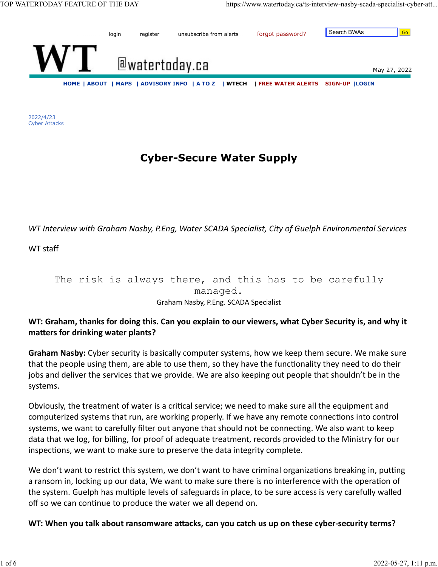

2022/4/23 Cyber Attacks

# Cyber-Secure Water Supply

WT Interview with Graham Nasby, P.Eng, Water SCADA Specialist, City of Guelph Environmental Services

WT staff

# The risk is always there, and this has to be carefully managed. Graham Nasby, P.Eng. SCADA Specialist

# WT: Graham, thanks for doing this. Can you explain to our viewers, what Cyber Security is, and why it matters for drinking water plants?

Graham Nasby: Cyber security is basically computer systems, how we keep them secure. We make sure that the people using them, are able to use them, so they have the functionality they need to do their jobs and deliver the services that we provide. We are also keeping out people that shouldn't be in the systems.

Obviously, the treatment of water is a critical service; we need to make sure all the equipment and computerized systems that run, are working properly. If we have any remote connections into control systems, we want to carefully filter out anyone that should not be connecting. We also want to keep data that we log, for billing, for proof of adequate treatment, records provided to the Ministry for our inspections, we want to make sure to preserve the data integrity complete.

We don't want to restrict this system, we don't want to have criminal organizations breaking in, putting a ransom in, locking up our data, We want to make sure there is no interference with the operation of the system. Guelph has multiple levels of safeguards in place, to be sure access is very carefully walled off so we can continue to produce the water we all depend on.

WT: When you talk about ransomware attacks, can you catch us up on these cyber-security terms?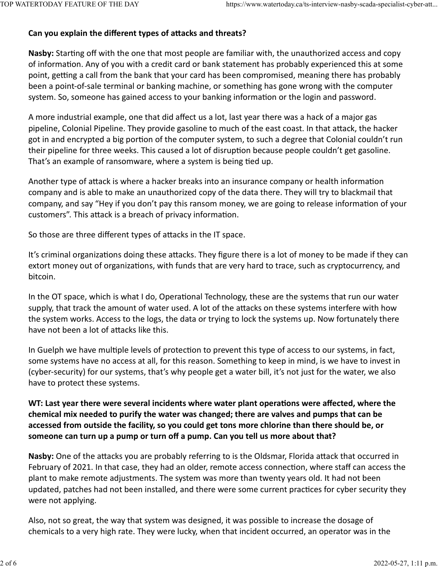# Can you explain the different types of attacks and threats? TOP WATERTODAY FEATURE OF THE DAY https://www.watertoday.ca/ts-interview-nasby-scada-specialist-cyber-att...<br> **Can you explain the different types of attacks and threats?**

Nasby: Starting off with the one that most people are familiar with, the unauthorized access and copy of information. Any of you with a credit card or bank statement has probably experienced this at some point, getting a call from the bank that your card has been compromised, meaning there has probably been a point-of-sale terminal or banking machine, or something has gone wrong with the computer system. So, someone has gained access to your banking information or the login and password.

A more industrial example, one that did affect us a lot, last year there was a hack of a major gas pipeline, Colonial Pipeline. They provide gasoline to much of the east coast. In that attack, the hacker got in and encrypted a big portion of the computer system, to such a degree that Colonial couldn't run their pipeline for three weeks. This caused a lot of disruption because people couldn't get gasoline. That's an example of ransomware, where a system is being tied up.

Another type of attack is where a hacker breaks into an insurance company or health information company and is able to make an unauthorized copy of the data there. They will try to blackmail that company, and say "Hey if you don't pay this ransom money, we are going to release information of your customers". This attack is a breach of privacy information.

So those are three different types of attacks in the IT space.

It's criminal organizations doing these attacks. They figure there is a lot of money to be made if they can extort money out of organizations, with funds that are very hard to trace, such as cryptocurrency, and bitcoin.

In the OT space, which is what I do, Operational Technology, these are the systems that run our water supply, that track the amount of water used. A lot of the attacks on these systems interfere with how the system works. Access to the logs, the data or trying to lock the systems up. Now fortunately there have not been a lot of attacks like this.

In Guelph we have multiple levels of protection to prevent this type of access to our systems, in fact, some systems have no access at all, for this reason. Something to keep in mind, is we have to invest in (cyber-security) for our systems, that's why people get a water bill, it's not just for the water, we also have to protect these systems.

WT: Last year there were several incidents where water plant operations were affected, where the chemical mix needed to purify the water was changed; there are valves and pumps that can be accessed from outside the facility, so you could get tons more chlorine than there should be, or someone can turn up a pump or turn off a pump. Can you tell us more about that?

Nasby: One of the attacks you are probably referring to is the Oldsmar, Florida attack that occurred in February of 2021. In that case, they had an older, remote access connection, where staff can access the plant to make remote adjustments. The system was more than twenty years old. It had not been updated, patches had not been installed, and there were some current practices for cyber security they were not applying.

Also, not so great, the way that system was designed, it was possible to increase the dosage of chemicals to a very high rate. They were lucky, when that incident occurred, an operator was in the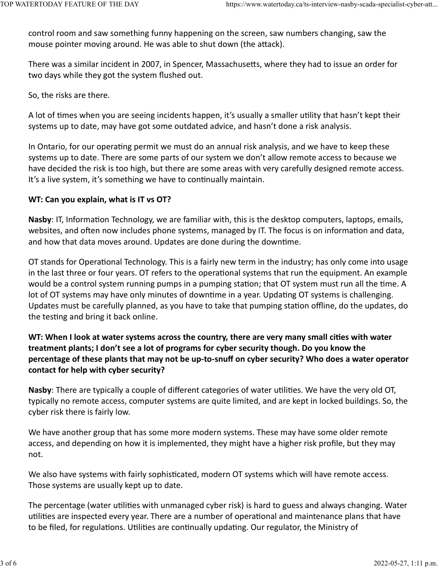control room and saw something funny happening on the screen, saw numbers changing, saw the mouse pointer moving around. He was able to shut down (the attack). TOP WATERTODAY FEATURE OF THE DAY https://www.watertoday.ca/ts-interview-nasby-scada-specialist-cyber-att...<br>control room and saw something funny happening on the screen, saw numbers changing, saw the<br>mouse pointer moving

There was a similar incident in 2007, in Spencer, Massachusetts, where they had to issue an order for two days while they got the system flushed out.

So, the risks are there.

A lot of times when you are seeing incidents happen, it's usually a smaller utility that hasn't kept their systems up to date, may have got some outdated advice, and hasn't done a risk analysis.

In Ontario, for our operating permit we must do an annual risk analysis, and we have to keep these systems up to date. There are some parts of our system we don't allow remote access to because we have decided the risk is too high, but there are some areas with very carefully designed remote access. It's a live system, it's something we have to continually maintain.

#### WT: Can you explain, what is IT vs OT?

Nasby: IT, Information Technology, we are familiar with, this is the desktop computers, laptops, emails, websites, and often now includes phone systems, managed by IT. The focus is on information and data, and how that data moves around. Updates are done during the downtime.

OT stands for Operational Technology. This is a fairly new term in the industry; has only come into usage in the last three or four years. OT refers to the operational systems that run the equipment. An example would be a control system running pumps in a pumping station; that OT system must run all the time. A lot of OT systems may have only minutes of downtime in a year. Updating OT systems is challenging. Updates must be carefully planned, as you have to take that pumping station offline, do the updates, do the testing and bring it back online.

# WT: When I look at water systems across the country, there are very many small cities with water treatment plants; I don't see a lot of programs for cyber security though. Do you know the percentage of these plants that may not be up-to-snuff on cyber security? Who does a water operator contact for help with cyber security?

Nasby: There are typically a couple of different categories of water utilities. We have the very old OT, typically no remote access, computer systems are quite limited, and are kept in locked buildings. So, the cyber risk there is fairly low.

We have another group that has some more modern systems. These may have some older remote access, and depending on how it is implemented, they might have a higher risk profile, but they may not.

We also have systems with fairly sophisticated, modern OT systems which will have remote access. Those systems are usually kept up to date.

The percentage (water utilities with unmanaged cyber risk) is hard to guess and always changing. Water utilities are inspected every year. There are a number of operational and maintenance plans that have to be filed, for regulations. Utilities are continually updating. Our regulator, the Ministry of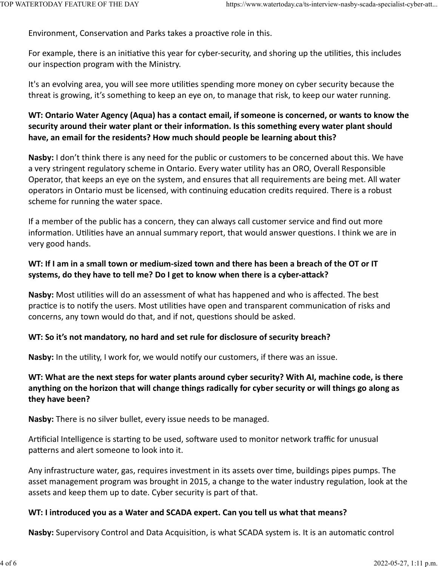Environment, Conservation and Parks takes a proactive role in this. TOP WATERTODAY FEATURE OF THE DAY https://www.watertoday.ca/ts-interview-nasby-scada-specialist-cyber-att...<br>Environment, Conservation and Parks takes a proactive role in this.<br>For superals, there is an initiative this was

For example, there is an initiative this year for cyber-security, and shoring up the utilities, this includes our inspection program with the Ministry.

It's an evolving area, you will see more utilities spending more money on cyber security because the threat is growing, it's something to keep an eye on, to manage that risk, to keep our water running.

### WT: Ontario Water Agency (Aqua) has a contact email, if someone is concerned, or wants to know the security around their water plant or their information. Is this something every water plant should have, an email for the residents? How much should people be learning about this?

Nasby: I don't think there is any need for the public or customers to be concerned about this. We have a very stringent regulatory scheme in Ontario. Every water utility has an ORO, Overall Responsible Operator, that keeps an eye on the system, and ensures that all requirements are being met. All water operators in Ontario must be licensed, with continuing education credits required. There is a robust scheme for running the water space.

If a member of the public has a concern, they can always call customer service and find out more information. Utilities have an annual summary report, that would answer questions. I think we are in very good hands.

#### WT: If I am in a small town or medium-sized town and there has been a breach of the OT or IT systems, do they have to tell me? Do I get to know when there is a cyber-attack?

Nasby: Most utilities will do an assessment of what has happened and who is affected. The best practice is to notify the users. Most utilities have open and transparent communication of risks and concerns, any town would do that, and if not, questions should be asked.

#### WT: So it's not mandatory, no hard and set rule for disclosure of security breach?

Nasby: In the utility, I work for, we would notify our customers, if there was an issue.

#### WT: What are the next steps for water plants around cyber security? With AI, machine code, is there anything on the horizon that will change things radically for cyber security or will things go along as they have been?

Nasby: There is no silver bullet, every issue needs to be managed.

Artificial Intelligence is starting to be used, software used to monitor network traffic for unusual patterns and alert someone to look into it.

Any infrastructure water, gas, requires investment in its assets over time, buildings pipes pumps. The asset management program was brought in 2015, a change to the water industry regulation, look at the assets and keep them up to date. Cyber security is part of that.

#### WT: I introduced you as a Water and SCADA expert. Can you tell us what that means?

Nasby: Supervisory Control and Data Acquisition, is what SCADA system is. It is an automatic control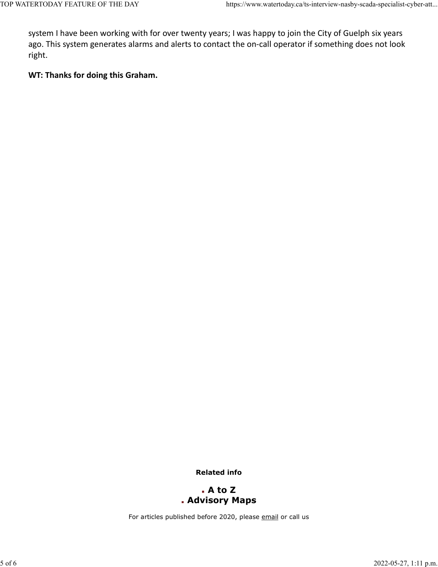system I have been working with for over twenty years; I was happy to join the City of Guelph six years ago. This system generates alarms and alerts to contact the on-call operator if something does not look right. TOP WATERTODAY FEATURE OF THE DAY<br>system I have been working with for over twenty years; I was happy to join the City of Guelph six years<br>ago. This system generates alarms and alerts to contact the on-call operator if some

# WT: Thanks for doing this Graham.

#### Related info

#### A to Z Advisory Maps

For articles published before 2020, please email or call us